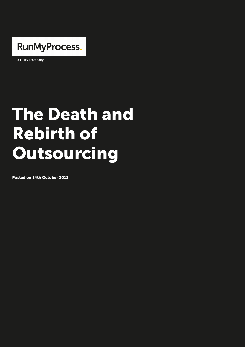

a Fujitsu company

# The Death and Rebirth of **Outsourcing**

Posted on 14th October 2013